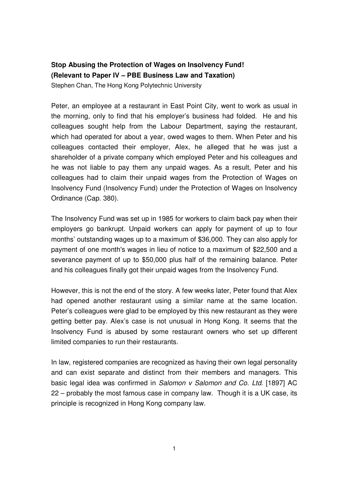## **Stop Abusing the Protection of Wages on Insolvency Fund! (Relevant to Paper IV – PBE Business Law and Taxation)**  Stephen Chan, The Hong Kong Polytechnic University

Peter, an employee at a restaurant in East Point City, went to work as usual in the morning, only to find that his employer's business had folded. He and his colleagues sought help from the Labour Department, saying the restaurant, which had operated for about a year, owed wages to them. When Peter and his colleagues contacted their employer, Alex, he alleged that he was just a shareholder of a private company which employed Peter and his colleagues and he was not liable to pay them any unpaid wages. As a result, Peter and his colleagues had to claim their unpaid wages from the Protection of Wages on Insolvency Fund (Insolvency Fund) under the Protection of Wages on Insolvency Ordinance (Cap. 380).

The Insolvency Fund was set up in 1985 for workers to claim back pay when their employers go bankrupt. Unpaid workers can apply for payment of up to four months' outstanding wages up to a maximum of \$36,000. They can also apply for payment of one month's wages in lieu of notice to a maximum of \$22,500 and a severance payment of up to \$50,000 plus half of the remaining balance. Peter and his colleagues finally got their unpaid wages from the Insolvency Fund.

However, this is not the end of the story. A few weeks later, Peter found that Alex had opened another restaurant using a similar name at the same location. Peter's colleagues were glad to be employed by this new restaurant as they were getting better pay. Alex's case is not unusual in Hong Kong. It seems that the Insolvency Fund is abused by some restaurant owners who set up different limited companies to run their restaurants.

In law, registered companies are recognized as having their own legal personality and can exist separate and distinct from their members and managers. This basic legal idea was confirmed in Salomon v Salomon and Co. Ltd. [1897] AC 22 – probably the most famous case in company law. Though it is a UK case, its principle is recognized in Hong Kong company law.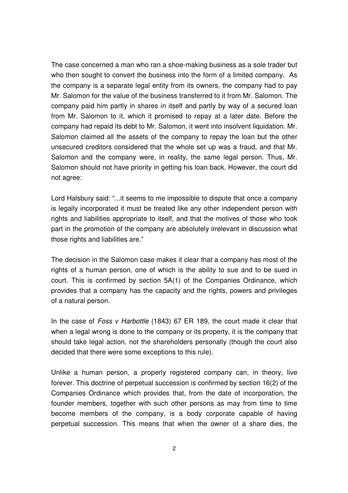The case concerned a man who ran a shoe-making business as a sole trader but who then sought to convert the business into the form of a limited company. As the company is a separate legal entity from its owners, the company had to pay Mr. Salomon for the value of the business transferred to it from Mr. Salomon. The company paid him partly in shares in itself and partly by way of a secured loan from Mr. Salomon to it, which it promised to repay at a later date. Before the company had repaid its debt to Mr. Salomon, it went into insolvent liquidation. Mr. Salomon claimed all the assets of the company to repay the loan but the other unsecured creditors considered that the whole set up was a fraud, and that Mr. Salomon and the company were, in reality, the same legal person. Thus, Mr. Salomon should not have priority in getting his loan back. However, the court did not agree:

Lord Halsbury said: "...it seems to me impossible to dispute that once a company is legally incorporated it must be treated like any other independent person with rights and liabilities appropriate to itself, and that the motives of those who took part in the promotion of the company are absolutely irrelevant in discussion what those rights and liabilities are."

The decision in the Salomon case makes it clear that a company has most of the rights of a human person, one of which is the ability to sue and to be sued in court. This is confirmed by section 5A(1) of the Companies Ordinance, which provides that a company has the capacity and the rights, powers and privileges of a natural person.

In the case of Foss v Harbottle (1843) 67 ER 189, the court made it clear that when a legal wrong is done to the company or its property, it is the company that should take legal action, not the shareholders personally (though the court also decided that there were some exceptions to this rule).

Unlike a human person, a properly registered company can, in theory, live forever. This doctrine of perpetual succession is confirmed by section 16(2) of the Companies Ordinance which provides that, from the date of incorporation, the founder members, together with such other persons as may from time to time become members of the company, is a body corporate capable of having perpetual succession. This means that when the owner of a share dies, the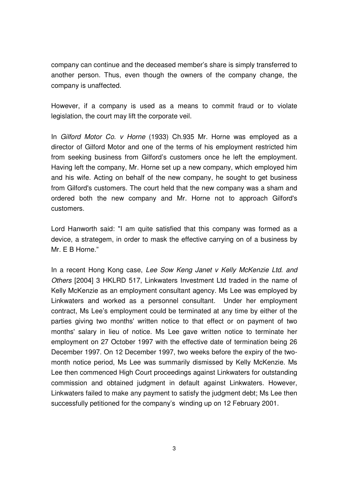company can continue and the deceased member's share is simply transferred to another person. Thus, even though the owners of the company change, the company is unaffected.

However, if a company is used as a means to commit fraud or to violate legislation, the court may lift the corporate veil.

In Gilford Motor Co. v Horne (1933) Ch.935 Mr. Horne was employed as a director of Gilford Motor and one of the terms of his employment restricted him from seeking business from Gilford's customers once he left the employment. Having left the company, Mr. Horne set up a new company, which employed him and his wife. Acting on behalf of the new company, he sought to get business from Gilford's customers. The court held that the new company was a sham and ordered both the new company and Mr. Horne not to approach Gilford's customers.

Lord Hanworth said: "I am quite satisfied that this company was formed as a device, a strategem, in order to mask the effective carrying on of a business by Mr. E B Horne."

In a recent Hong Kong case, Lee Sow Keng Janet v Kelly McKenzie Ltd. and Others [2004] 3 HKLRD 517, Linkwaters Investment Ltd traded in the name of Kelly McKenzie as an employment consultant agency. Ms Lee was employed by Linkwaters and worked as a personnel consultant. Under her employment contract, Ms Lee's employment could be terminated at any time by either of the parties giving two months' written notice to that effect or on payment of two months' salary in lieu of notice. Ms Lee gave written notice to terminate her employment on 27 October 1997 with the effective date of termination being 26 December 1997. On 12 December 1997, two weeks before the expiry of the twomonth notice period, Ms Lee was summarily dismissed by Kelly McKenzie. Ms Lee then commenced High Court proceedings against Linkwaters for outstanding commission and obtained judgment in default against Linkwaters. However, Linkwaters failed to make any payment to satisfy the judgment debt; Ms Lee then successfully petitioned for the company's winding up on 12 February 2001.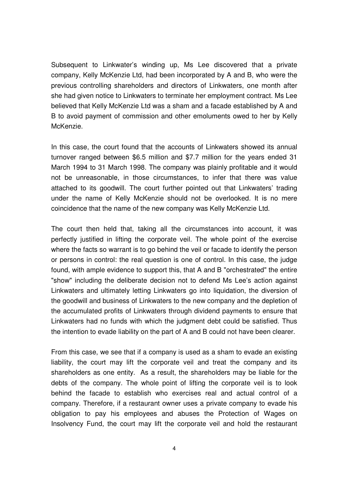Subsequent to Linkwater's winding up, Ms Lee discovered that a private company, Kelly McKenzie Ltd, had been incorporated by A and B, who were the previous controlling shareholders and directors of Linkwaters, one month after she had given notice to Linkwaters to terminate her employment contract. Ms Lee believed that Kelly McKenzie Ltd was a sham and a facade established by A and B to avoid payment of commission and other emoluments owed to her by Kelly McKenzie.

In this case, the court found that the accounts of Linkwaters showed its annual turnover ranged between \$6.5 million and \$7.7 million for the years ended 31 March 1994 to 31 March 1998. The company was plainly profitable and it would not be unreasonable, in those circumstances, to infer that there was value attached to its goodwill. The court further pointed out that Linkwaters' trading under the name of Kelly McKenzie should not be overlooked. It is no mere coincidence that the name of the new company was Kelly McKenzie Ltd.

The court then held that, taking all the circumstances into account, it was perfectly justified in lifting the corporate veil. The whole point of the exercise where the facts so warrant is to go behind the veil or facade to identify the person or persons in control: the real question is one of control. In this case, the judge found, with ample evidence to support this, that A and B "orchestrated" the entire "show" including the deliberate decision not to defend Ms Lee's action against Linkwaters and ultimately letting Linkwaters go into liquidation, the diversion of the goodwill and business of Linkwaters to the new company and the depletion of the accumulated profits of Linkwaters through dividend payments to ensure that Linkwaters had no funds with which the judgment debt could be satisfied. Thus the intention to evade liability on the part of A and B could not have been clearer.

From this case, we see that if a company is used as a sham to evade an existing liability, the court may lift the corporate veil and treat the company and its shareholders as one entity. As a result, the shareholders may be liable for the debts of the company. The whole point of lifting the corporate veil is to look behind the facade to establish who exercises real and actual control of a company. Therefore, if a restaurant owner uses a private company to evade his obligation to pay his employees and abuses the Protection of Wages on Insolvency Fund, the court may lift the corporate veil and hold the restaurant